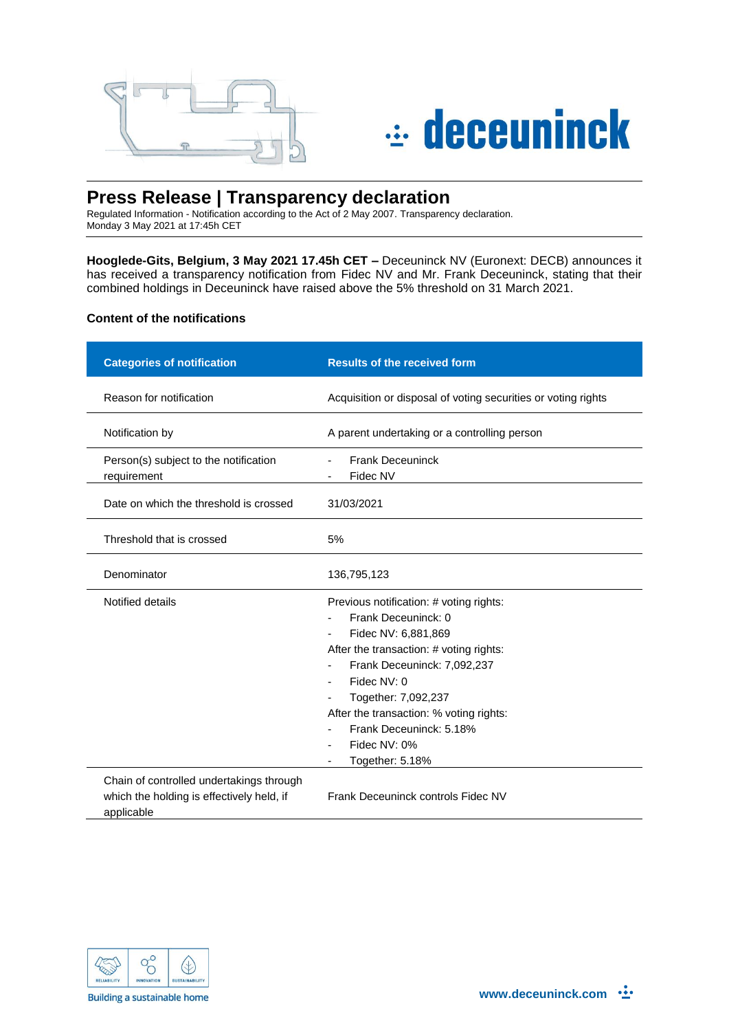



# **Press Release | Transparency declaration**

Regulated Information - Notification according to the Act of 2 May 2007. Transparency declaration. Monday 3 May 2021 at 17:45h CET

**Hooglede-Gits, Belgium, 3 May 2021 17.45h CET –** Deceuninck NV (Euronext: DECB) announces it has received a transparency notification from Fidec NV and Mr. Frank Deceuninck, stating that their combined holdings in Deceuninck have raised above the 5% threshold on 31 March 2021.

## **Content of the notifications**

| <b>Categories of notification</b>                                                                   | <b>Results of the received form</b>                                                                                                                                                                                                                                                                            |
|-----------------------------------------------------------------------------------------------------|----------------------------------------------------------------------------------------------------------------------------------------------------------------------------------------------------------------------------------------------------------------------------------------------------------------|
| Reason for notification                                                                             | Acquisition or disposal of voting securities or voting rights                                                                                                                                                                                                                                                  |
| Notification by                                                                                     | A parent undertaking or a controlling person                                                                                                                                                                                                                                                                   |
| Person(s) subject to the notification<br>requirement                                                | <b>Frank Deceuninck</b><br>$\overline{\phantom{0}}$<br>Fidec NV                                                                                                                                                                                                                                                |
| Date on which the threshold is crossed                                                              | 31/03/2021                                                                                                                                                                                                                                                                                                     |
| Threshold that is crossed                                                                           | 5%                                                                                                                                                                                                                                                                                                             |
| Denominator                                                                                         | 136,795,123                                                                                                                                                                                                                                                                                                    |
| Notified details                                                                                    | Previous notification: # voting rights:<br>Frank Deceuninck: 0<br>Fidec NV: 6,881,869<br>After the transaction: # voting rights:<br>Frank Deceuninck: 7,092,237<br>Fidec NV: 0<br>Together: 7,092,237<br>After the transaction: % voting rights:<br>Frank Deceuninck: 5.18%<br>Fidec NV: 0%<br>Together: 5.18% |
| Chain of controlled undertakings through<br>which the holding is effectively held, if<br>applicable | Frank Deceuninck controls Fidec NV                                                                                                                                                                                                                                                                             |